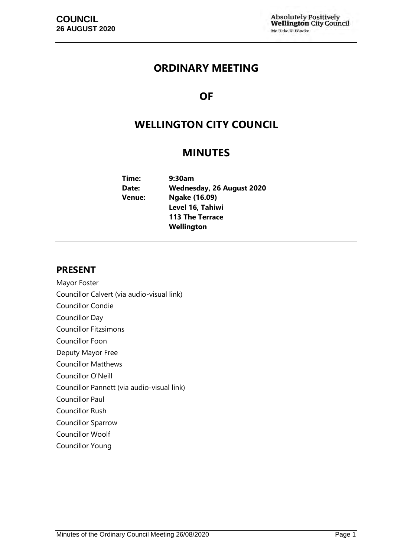# **ORDINARY MEETING**

# **OF**

# **WELLINGTON CITY COUNCIL**

# **MINUTES**

| Time:         | 9:30am                           |
|---------------|----------------------------------|
| Date:         | <b>Wednesday, 26 August 2020</b> |
| <b>Venue:</b> | Ngake (16.09)                    |
|               | Level 16, Tahiwi                 |
|               | <b>113 The Terrace</b>           |
|               | Wellington                       |

# **PRESENT**

- Mayor Foster
- Councillor Calvert (via audio-visual link)
- Councillor Condie
- Councillor Day
- Councillor Fitzsimons
- Councillor Foon
- Deputy Mayor Free
- Councillor Matthews
- Councillor O'Neill
- Councillor Pannett (via audio-visual link)
- Councillor Paul
- Councillor Rush
- Councillor Sparrow
- Councillor Woolf
- Councillor Young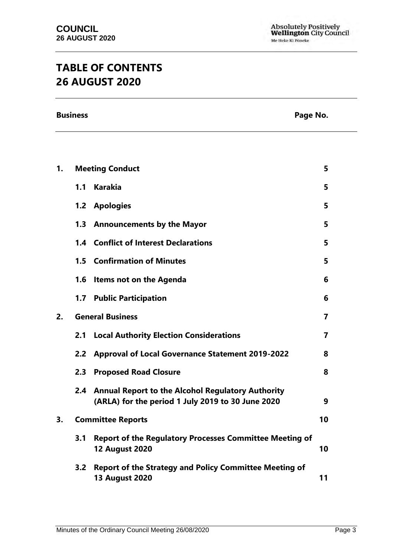# **TABLE OF CONTENTS 26 AUGUST 2020**

**Business** Page No.

| 1. |     | <b>Meeting Conduct</b>                                                                                        | 5              |
|----|-----|---------------------------------------------------------------------------------------------------------------|----------------|
|    | 1.1 | <b>Karakia</b>                                                                                                | 5              |
|    | 1.2 | <b>Apologies</b>                                                                                              | 5              |
|    | 1.3 | <b>Announcements by the Mayor</b>                                                                             | 5              |
|    |     | 1.4 Conflict of Interest Declarations                                                                         | 5              |
|    |     | <b>1.5 Confirmation of Minutes</b>                                                                            | 5              |
|    | 1.6 | Items not on the Agenda                                                                                       | 6              |
|    | 1.7 | <b>Public Participation</b>                                                                                   | 6              |
| 2. |     | <b>General Business</b>                                                                                       | $\overline{7}$ |
|    | 2.1 | <b>Local Authority Election Considerations</b>                                                                | $\overline{7}$ |
|    | 2.2 | <b>Approval of Local Governance Statement 2019-2022</b>                                                       | 8              |
|    | 2.3 | <b>Proposed Road Closure</b>                                                                                  | 8              |
|    | 2.4 | <b>Annual Report to the Alcohol Regulatory Authority</b><br>(ARLA) for the period 1 July 2019 to 30 June 2020 | 9              |
| 3. |     | <b>Committee Reports</b>                                                                                      | 10             |
|    | 3.1 | <b>Report of the Regulatory Processes Committee Meeting of</b><br><b>12 August 2020</b>                       | 10             |
|    | 3.2 | <b>Report of the Strategy and Policy Committee Meeting of</b><br><b>13 August 2020</b>                        | 11             |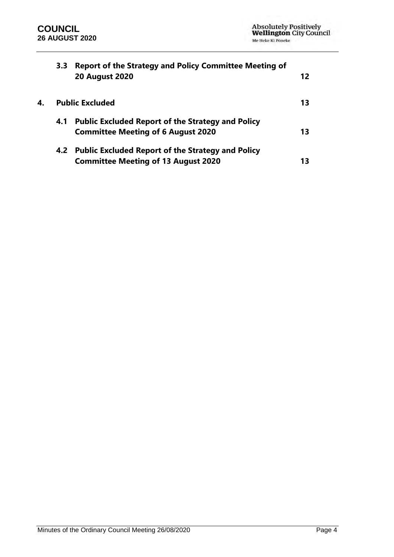|    | 3.3 <sub>2</sub> | <b>Report of the Strategy and Policy Committee Meeting of</b><br><b>20 August 2020</b>                | 12 |
|----|------------------|-------------------------------------------------------------------------------------------------------|----|
| 4. |                  | <b>Public Excluded</b>                                                                                | 13 |
|    | 4.1              | <b>Public Excluded Report of the Strategy and Policy</b><br><b>Committee Meeting of 6 August 2020</b> | 13 |
|    |                  | 4.2 Public Excluded Report of the Strategy and Policy<br><b>Committee Meeting of 13 August 2020</b>   | 13 |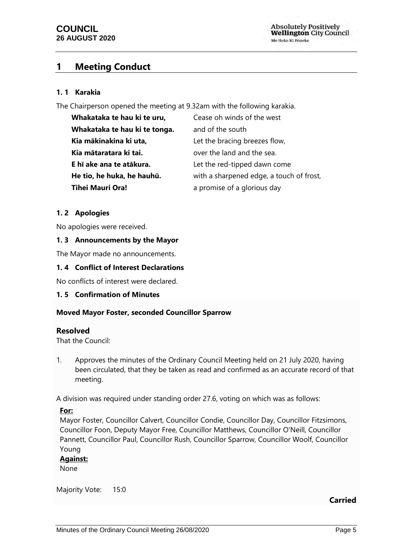**Absolutely Positively Wellington City Council** Me Heke Ki Pôneke

# <span id="page-4-0"></span>**1 Meeting Conduct**

#### **1. 1 Karakia**

The Chairperson opened the meeting at 9.32am with the following karakia.

| Whakataka te hau ki te uru,   | Cease oh winds of the west               |
|-------------------------------|------------------------------------------|
| Whakataka te hau ki te tonga. | and of the south                         |
| Kia mākinakina ki uta,        | Let the bracing breezes flow,            |
| Kia mātaratara ki tai.        | over the land and the sea.               |
| E hī ake ana te atākura.      | Let the red-tipped dawn come             |
| He tio, he huka, he hauhū.    | with a sharpened edge, a touch of frost, |
| <b>Tihei Mauri Ora!</b>       | a promise of a glorious day              |

### <span id="page-4-1"></span>**1. 2 Apologies**

No apologies were received.

#### <span id="page-4-2"></span>**1. 3 Announcements by the Mayor**

The Mayor made no announcements.

### <span id="page-4-3"></span>**1. 4 Conflict of Interest Declarations**

No conflicts of interest were declared.

#### <span id="page-4-4"></span>**1. 5 Confirmation of Minutes**

#### **Moved Mayor Foster, seconded Councillor Sparrow**

#### **Resolved**

That the Council:

1. Approves the minutes of the Ordinary Council Meeting held on 21 July 2020, having been circulated, that they be taken as read and confirmed as an accurate record of that meeting.

A division was required under standing order 27.6, voting on which was as follows:

#### **For:**

Mayor Foster, Councillor Calvert, Councillor Condie, Councillor Day, Councillor Fitzsimons, Councillor Foon, Deputy Mayor Free, Councillor Matthews, Councillor O'Neill, Councillor Pannett, Councillor Paul, Councillor Rush, Councillor Sparrow, Councillor Woolf, Councillor Young

#### **Against:**

None

Majority Vote: 15:0

**Carried**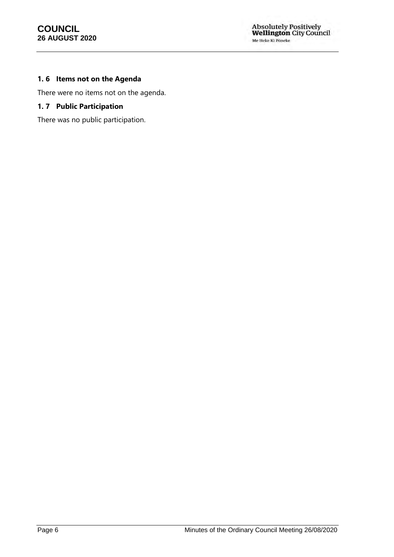# <span id="page-5-0"></span>**1. 6 Items not on the Agenda**

There were no items not on the agenda.

### <span id="page-5-1"></span>**1. 7 Public Participation**

There was no public participation.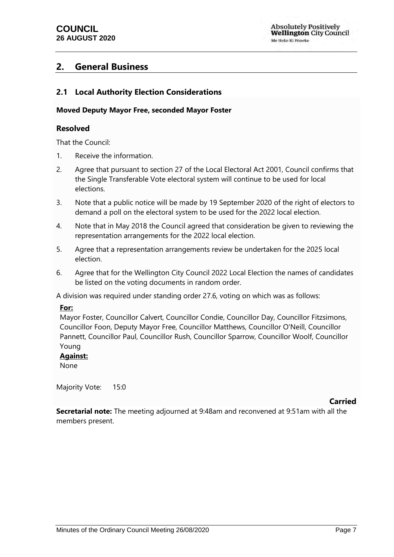# <span id="page-6-0"></span>**2. General Business**

# <span id="page-6-1"></span>**2.1 Local Authority Election Considerations**

### **Moved Deputy Mayor Free, seconded Mayor Foster**

### **Resolved**

That the Council:

- 1. Receive the information.
- 2. Agree that pursuant to section 27 of the Local Electoral Act 2001, Council confirms that the Single Transferable Vote electoral system will continue to be used for local elections.
- 3. Note that a public notice will be made by 19 September 2020 of the right of electors to demand a poll on the electoral system to be used for the 2022 local election.
- 4. Note that in May 2018 the Council agreed that consideration be given to reviewing the representation arrangements for the 2022 local election.
- 5. Agree that a representation arrangements review be undertaken for the 2025 local election.
- 6. Agree that for the Wellington City Council 2022 Local Election the names of candidates be listed on the voting documents in random order.

A division was required under standing order 27.6, voting on which was as follows:

#### **For:**

Mayor Foster, Councillor Calvert, Councillor Condie, Councillor Day, Councillor Fitzsimons, Councillor Foon, Deputy Mayor Free, Councillor Matthews, Councillor O'Neill, Councillor Pannett, Councillor Paul, Councillor Rush, Councillor Sparrow, Councillor Woolf, Councillor Young

#### **Against:**

None

Majority Vote: 15:0

#### **Carried**

**Secretarial note:** The meeting adjourned at 9:48am and reconvened at 9:51am with all the members present.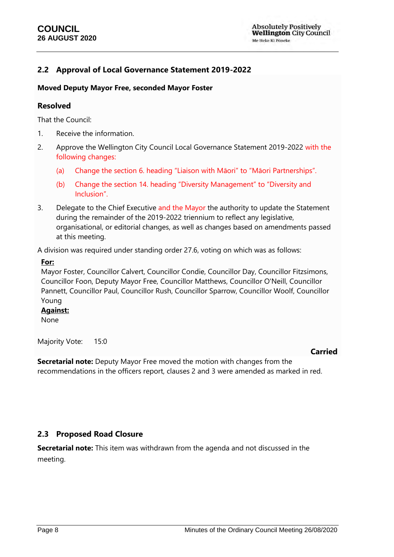# <span id="page-7-0"></span>**2.2 Approval of Local Governance Statement 2019-2022**

### **Moved Deputy Mayor Free, seconded Mayor Foster**

### **Resolved**

That the Council:

- 1. Receive the information.
- 2. Approve the Wellington City Council Local Governance Statement 2019-2022 with the following changes:
	- (a) Change the section 6. heading "Liaison with Māori" to "Māori Partnerships".
	- (b) Change the section 14. heading "Diversity Management" to "Diversity and Inclusion".
- 3. Delegate to the Chief Executive and the Mayor the authority to update the Statement during the remainder of the 2019-2022 triennium to reflect any legislative, organisational, or editorial changes, as well as changes based on amendments passed at this meeting.

A division was required under standing order 27.6, voting on which was as follows:

### **For:**

Mayor Foster, Councillor Calvert, Councillor Condie, Councillor Day, Councillor Fitzsimons, Councillor Foon, Deputy Mayor Free, Councillor Matthews, Councillor O'Neill, Councillor Pannett, Councillor Paul, Councillor Rush, Councillor Sparrow, Councillor Woolf, Councillor Young

# **Against:**

None

Majority Vote: 15:0

## **Carried**

**Secretarial note:** Deputy Mayor Free moved the motion with changes from the recommendations in the officers report, clauses 2 and 3 were amended as marked in red.

# <span id="page-7-1"></span>**2.3 Proposed Road Closure**

**Secretarial note:** This item was withdrawn from the agenda and not discussed in the meeting.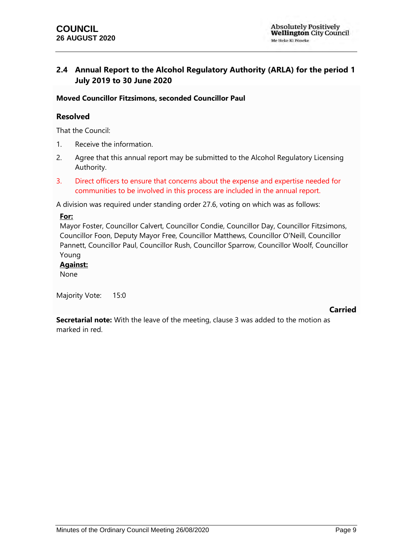# <span id="page-8-0"></span>**2.4 Annual Report to the Alcohol Regulatory Authority (ARLA) for the period 1 July 2019 to 30 June 2020**

### **Moved Councillor Fitzsimons, seconded Councillor Paul**

## **Resolved**

That the Council:

- 1. Receive the information.
- 2. Agree that this annual report may be submitted to the Alcohol Regulatory Licensing Authority.
- 3. Direct officers to ensure that concerns about the expense and expertise needed for communities to be involved in this process are included in the annual report.

A division was required under standing order 27.6, voting on which was as follows:

#### **For:**

Mayor Foster, Councillor Calvert, Councillor Condie, Councillor Day, Councillor Fitzsimons, Councillor Foon, Deputy Mayor Free, Councillor Matthews, Councillor O'Neill, Councillor Pannett, Councillor Paul, Councillor Rush, Councillor Sparrow, Councillor Woolf, Councillor Young

#### **Against:**

None

Majority Vote: 15:0

#### **Carried**

**Secretarial note:** With the leave of the meeting, clause 3 was added to the motion as marked in red.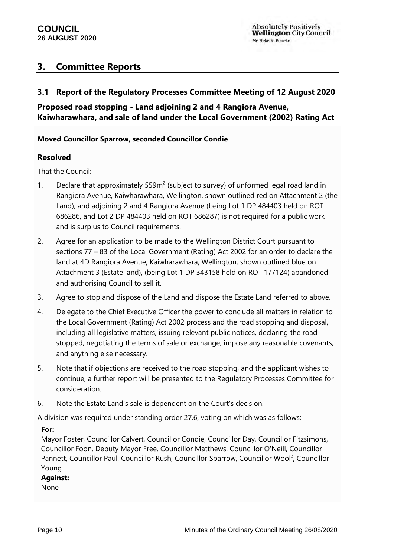# <span id="page-9-0"></span>**3. Committee Reports**

# <span id="page-9-1"></span>**3.1 Report of the Regulatory Processes Committee Meeting of 12 August 2020**

**Proposed road stopping - Land adjoining 2 and 4 Rangiora Avenue, Kaiwharawhara, and sale of land under the Local Government (2002) Rating Act**

## **Moved Councillor Sparrow, seconded Councillor Condie**

### **Resolved**

That the Council:

- 1. Declare that approximately 559m<sup>2</sup> (subject to survey) of unformed legal road land in Rangiora Avenue, Kaiwharawhara, Wellington, shown outlined red on Attachment 2 (the Land), and adjoining 2 and 4 Rangiora Avenue (being Lot 1 DP 484403 held on ROT 686286, and Lot 2 DP 484403 held on ROT 686287) is not required for a public work and is surplus to Council requirements.
- 2. Agree for an application to be made to the Wellington District Court pursuant to sections 77 – 83 of the Local Government (Rating) Act 2002 for an order to declare the land at 4D Rangiora Avenue, Kaiwharawhara, Wellington, shown outlined blue on Attachment 3 (Estate land), (being Lot 1 DP 343158 held on ROT 177124) abandoned and authorising Council to sell it.
- 3. Agree to stop and dispose of the Land and dispose the Estate Land referred to above.
- 4. Delegate to the Chief Executive Officer the power to conclude all matters in relation to the Local Government (Rating) Act 2002 process and the road stopping and disposal, including all legislative matters, issuing relevant public notices, declaring the road stopped, negotiating the terms of sale or exchange, impose any reasonable covenants, and anything else necessary.
- 5. Note that if objections are received to the road stopping, and the applicant wishes to continue, a further report will be presented to the Regulatory Processes Committee for consideration.
- 6. Note the Estate Land's sale is dependent on the Court's decision.

A division was required under standing order 27.6, voting on which was as follows:

#### **For:**

Mayor Foster, Councillor Calvert, Councillor Condie, Councillor Day, Councillor Fitzsimons, Councillor Foon, Deputy Mayor Free, Councillor Matthews, Councillor O'Neill, Councillor Pannett, Councillor Paul, Councillor Rush, Councillor Sparrow, Councillor Woolf, Councillor Young

## **Against:**

None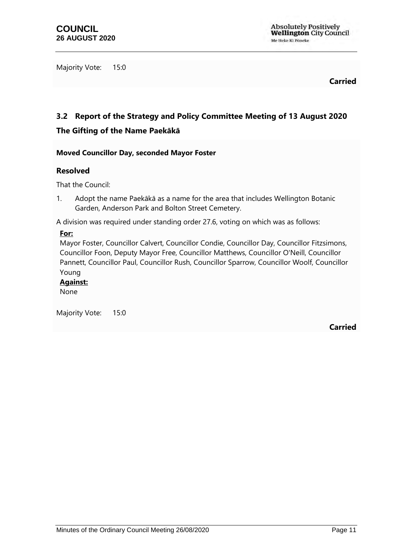Majority Vote: 15:0

**Carried**

# <span id="page-10-0"></span>**3.2 Report of the Strategy and Policy Committee Meeting of 13 August 2020 The Gifting of the Name Paekākā**

## **Moved Councillor Day, seconded Mayor Foster**

### **Resolved**

That the Council:

1. Adopt the name Paekākā as a name for the area that includes Wellington Botanic Garden, Anderson Park and Bolton Street Cemetery.

A division was required under standing order 27.6, voting on which was as follows:

#### **For:**

Mayor Foster, Councillor Calvert, Councillor Condie, Councillor Day, Councillor Fitzsimons, Councillor Foon, Deputy Mayor Free, Councillor Matthews, Councillor O'Neill, Councillor Pannett, Councillor Paul, Councillor Rush, Councillor Sparrow, Councillor Woolf, Councillor Young

#### **Against:**

None

Majority Vote: 15:0

**Carried**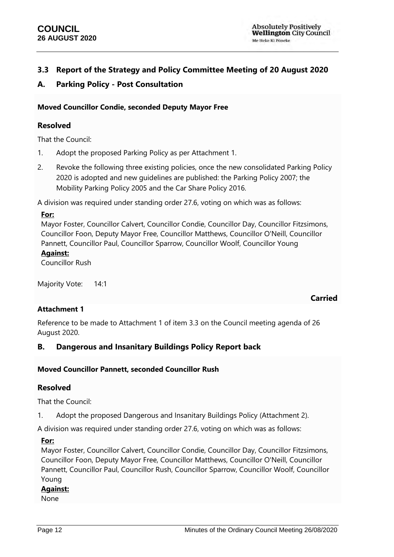**Carried**

# <span id="page-11-0"></span>**3.3 Report of the Strategy and Policy Committee Meeting of 20 August 2020**

# **A. Parking Policy - Post Consultation**

### **Moved Councillor Condie, seconded Deputy Mayor Free**

### **Resolved**

That the Council:

- 1. Adopt the proposed Parking Policy as per Attachment 1.
- 2. Revoke the following three existing policies, once the new consolidated Parking Policy 2020 is adopted and new guidelines are published: the Parking Policy 2007; the Mobility Parking Policy 2005 and the Car Share Policy 2016.

A division was required under standing order 27.6, voting on which was as follows:

### **For:**

Mayor Foster, Councillor Calvert, Councillor Condie, Councillor Day, Councillor Fitzsimons, Councillor Foon, Deputy Mayor Free, Councillor Matthews, Councillor O'Neill, Councillor Pannett, Councillor Paul, Councillor Sparrow, Councillor Woolf, Councillor Young

# **Against:**

Councillor Rush

Majority Vote: 14:1

## **Attachment 1**

Reference to be made to Attachment 1 of item 3.3 on the Council meeting agenda of 26 August 2020.

## **B. Dangerous and Insanitary Buildings Policy Report back**

#### **Moved Councillor Pannett, seconded Councillor Rush**

## **Resolved**

That the Council:

1. Adopt the proposed Dangerous and Insanitary Buildings Policy (Attachment 2).

A division was required under standing order 27.6, voting on which was as follows:

#### **For:**

Mayor Foster, Councillor Calvert, Councillor Condie, Councillor Day, Councillor Fitzsimons, Councillor Foon, Deputy Mayor Free, Councillor Matthews, Councillor O'Neill, Councillor Pannett, Councillor Paul, Councillor Rush, Councillor Sparrow, Councillor Woolf, Councillor Young

#### **Against:**

None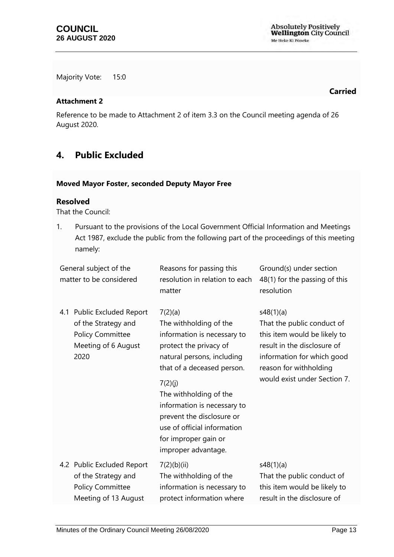Absolutely Positively<br>Wellington City Council Me Heke Ki Põneke

Majority Vote: 15:0

#### **Attachment 2**

Reference to be made to Attachment 2 of item 3.3 on the Council meeting agenda of 26 August 2020.

# <span id="page-12-0"></span>**4. Public Excluded**

#### **Moved Mayor Foster, seconded Deputy Mayor Free**

### **Resolved**

That the Council:

1. Pursuant to the provisions of the Local Government Official Information and Meetings Act 1987, exclude the public from the following part of the proceedings of this meeting namely:

<span id="page-12-2"></span><span id="page-12-1"></span>

| General subject of the<br>matter to be considered |                                                                                                             | Reasons for passing this<br>resolution in relation to each<br>matter                                                                                                                                                                                                                                                                  | Ground(s) under section<br>48(1) for the passing of this<br>resolution                                                                                                                         |
|---------------------------------------------------|-------------------------------------------------------------------------------------------------------------|---------------------------------------------------------------------------------------------------------------------------------------------------------------------------------------------------------------------------------------------------------------------------------------------------------------------------------------|------------------------------------------------------------------------------------------------------------------------------------------------------------------------------------------------|
|                                                   | 4.1 Public Excluded Report<br>of the Strategy and<br><b>Policy Committee</b><br>Meeting of 6 August<br>2020 | 7(2)(a)<br>The withholding of the<br>information is necessary to<br>protect the privacy of<br>natural persons, including<br>that of a deceased person.<br>7(2)(j)<br>The withholding of the<br>information is necessary to<br>prevent the disclosure or<br>use of official information<br>for improper gain or<br>improper advantage. | s48(1)(a)<br>That the public conduct of<br>this item would be likely to<br>result in the disclosure of<br>information for which good<br>reason for withholding<br>would exist under Section 7. |
|                                                   | 4.2 Public Excluded Report<br>of the Strategy and<br><b>Policy Committee</b><br>Meeting of 13 August        | 7(2)(b)(ii)<br>The withholding of the<br>information is necessary to<br>protect information where                                                                                                                                                                                                                                     | s48(1)(a)<br>That the public conduct of<br>this item would be likely to<br>result in the disclosure of                                                                                         |
|                                                   |                                                                                                             |                                                                                                                                                                                                                                                                                                                                       |                                                                                                                                                                                                |

**Carried**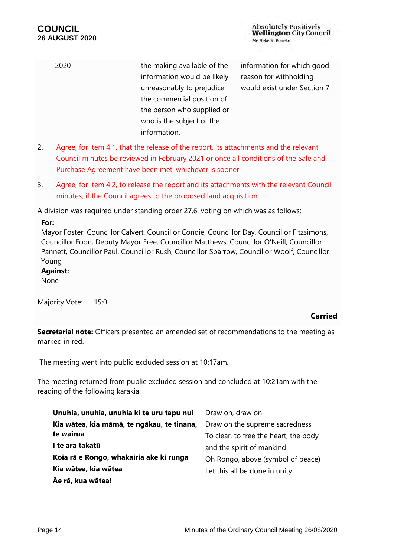| 2020 | the making available of the | information for which good   |
|------|-----------------------------|------------------------------|
|      | information would be likely | reason for withholding       |
|      | unreasonably to prejudice   | would exist under Section 7. |
|      | the commercial position of  |                              |
|      | the person who supplied or  |                              |
|      | who is the subject of the   |                              |
|      | information.                |                              |

- 2. Agree, for item 4.1, that the release of the report, its attachments and the relevant Council minutes be reviewed in February 2021 or once all conditions of the Sale and Purchase Agreement have been met, whichever is sooner.
- 3. Agree, for item 4.2, to release the report and its attachments with the relevant Council minutes, if the Council agrees to the proposed land acquisition.

A division was required under standing order 27.6, voting on which was as follows:

#### **For:**

Mayor Foster, Councillor Calvert, Councillor Condie, Councillor Day, Councillor Fitzsimons, Councillor Foon, Deputy Mayor Free, Councillor Matthews, Councillor O'Neill, Councillor Pannett, Councillor Paul, Councillor Rush, Councillor Sparrow, Councillor Woolf, Councillor Young

# **Against:**

None

Majority Vote: 15:0

## **Carried**

**Secretarial note:** Officers presented an amended set of recommendations to the meeting as marked in red.

The meeting went into public excluded session at 10:17am.

The meeting returned from public excluded session and concluded at 10:21am with the reading of the following karakia:

| Unuhia, unuhia, unuhia ki te uru tapu nui  | Draw on, draw on                      |
|--------------------------------------------|---------------------------------------|
| Kia wātea, kia māmā, te ngākau, te tinana, | Draw on the supreme sacredness        |
| te wairua                                  | To clear, to free the heart, the body |
| I te ara takatū                            | and the spirit of mankind             |
| Koia rā e Rongo, whakairia ake ki runga    | Oh Rongo, above (symbol of peace)     |
| Kia wātea, kia wātea                       | Let this all be done in unity         |
| Āe rā, kua wātea!                          |                                       |